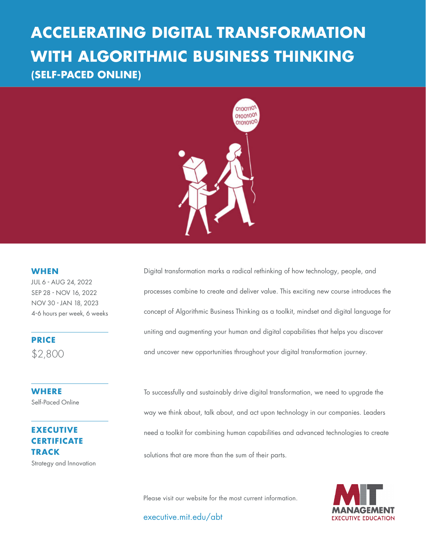# **WITH ALGORITHMIC BUSINESS THINKING ACCELERATING DIGITAL TRANSFORMATION (SELF-PACED ONLINE)**



### **WHEN**

JUL 6 - AUG 24, 2022 SEP 28 - NOV 16, 2022 NOV 30 - JAN 18, 2023 4-6 hours per week, 6 weeks

**PRICE** \$2,800

**WHERE**  Self-Paced Online

## **EXECUTIVE CERTIFICATE TRACK**

Strategy and Innovation

Digital transformation marks a radical rethinking of how technology, people, and processes combine to create and deliver value. This exciting new course introduces the concept of Algorithmic Business Thinking as a toolkit, mindset and digital language for uniting and augmenting your human and digital capabilities that helps you discover and uncover new opportunities throughout your digital transformation journey.

To successfully and sustainably drive digital transformation, we need to upgrade the way we think about, talk about, and act upon technology in our companies. Leaders need a toolkit for combining human capabilities and advanced technologies to create solutions that are more than the sum of their parts.

Please visit our website for the most current information.

executive.mit.edu/abt